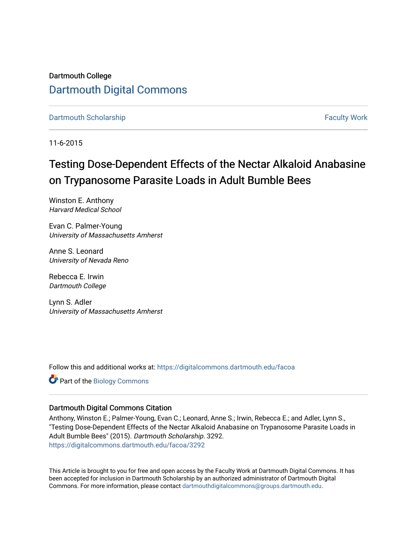Dartmouth College [Dartmouth Digital Commons](https://digitalcommons.dartmouth.edu/) 

[Dartmouth Scholarship](https://digitalcommons.dartmouth.edu/facoa) [Faculty Work](https://digitalcommons.dartmouth.edu/faculty) and The Basic Scholarship Faculty Work Faculty Work

11-6-2015

## Testing Dose-Dependent Effects of the Nectar Alkaloid Anabasine on Trypanosome Parasite Loads in Adult Bumble Bees

Winston E. Anthony Harvard Medical School

Evan C. Palmer-Young University of Massachusetts Amherst

Anne S. Leonard University of Nevada Reno

Rebecca E. Irwin Dartmouth College

Lynn S. Adler University of Massachusetts Amherst

Follow this and additional works at: [https://digitalcommons.dartmouth.edu/facoa](https://digitalcommons.dartmouth.edu/facoa?utm_source=digitalcommons.dartmouth.edu%2Ffacoa%2F3292&utm_medium=PDF&utm_campaign=PDFCoverPages)

Part of the [Biology Commons](http://network.bepress.com/hgg/discipline/41?utm_source=digitalcommons.dartmouth.edu%2Ffacoa%2F3292&utm_medium=PDF&utm_campaign=PDFCoverPages) 

#### Dartmouth Digital Commons Citation

Anthony, Winston E.; Palmer-Young, Evan C.; Leonard, Anne S.; Irwin, Rebecca E.; and Adler, Lynn S., "Testing Dose-Dependent Effects of the Nectar Alkaloid Anabasine on Trypanosome Parasite Loads in Adult Bumble Bees" (2015). Dartmouth Scholarship. 3292. [https://digitalcommons.dartmouth.edu/facoa/3292](https://digitalcommons.dartmouth.edu/facoa/3292?utm_source=digitalcommons.dartmouth.edu%2Ffacoa%2F3292&utm_medium=PDF&utm_campaign=PDFCoverPages) 

This Article is brought to you for free and open access by the Faculty Work at Dartmouth Digital Commons. It has been accepted for inclusion in Dartmouth Scholarship by an authorized administrator of Dartmouth Digital Commons. For more information, please contact [dartmouthdigitalcommons@groups.dartmouth.edu](mailto:dartmouthdigitalcommons@groups.dartmouth.edu).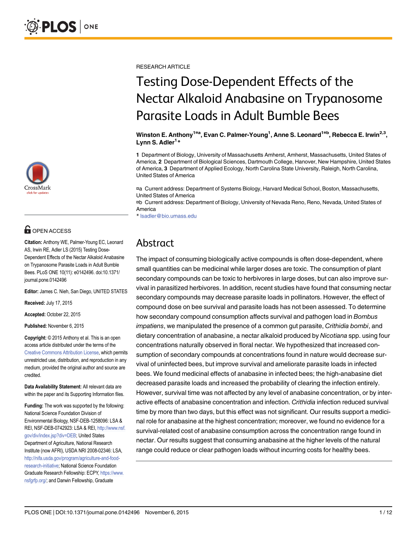

## **G** OPEN ACCESS

Citation: Anthony WE, Palmer-Young EC, Leonard AS, Irwin RE, Adler LS (2015) Testing Dose-Dependent Effects of the Nectar Alkaloid Anabasine on Trypanosome Parasite Loads in Adult Bumble Bees. PLoS ONE 10(11): e0142496. doi:10.1371/ journal.pone.0142496

Editor: James C. Nieh, San Diego, UNITED STATES

Received: July 17, 2015

Accepted: October 22, 2015

Published: November 6, 2015

Copyright: © 2015 Anthony et al. This is an open access article distributed under the terms of the [Creative Commons Attribution License,](http://creativecommons.org/licenses/by/4.0/) which permits unrestricted use, distribution, and reproduction in any medium, provided the original author and source are credited.

Data Availability Statement: All relevant data are within the paper and its Supporting Information files.

Funding: The work was supported by the following: National Science Foundation Division of Environmental Biology, NSF-DEB-1258096: LSA & REI, NSF-DEB-0742923: LSA & REI, [http://www.nsf.](http://www.nsf.gov/div/index.jsp?div=DEB) [gov/div/index.jsp?div=DEB;](http://www.nsf.gov/div/index.jsp?div=DEB) United States Department of Agriculture, National Research Institute (now AFRI), USDA NRI 2008-02346: LSA, [http://nifa.usda.gov/program/agriculture-and-food](http://nifa.usda.gov/program/agriculture-and-food-research-initiative)[research-initiative;](http://nifa.usda.gov/program/agriculture-and-food-research-initiative) National Science Foundation Graduate Research Fellowship: ECPY, [https://www.](https://www.nsfgrfp.org/) [nsfgrfp.org/](https://www.nsfgrfp.org/); and Darwin Fellowship, Graduate

RESEARCH ARTICLE

# Testing Dose-Dependent Effects of the Nectar Alkaloid Anabasine on Trypanosome Parasite Loads in Adult Bumble Bees

Winston E. Anthony<sup>1¤a</sup>, Evan C. Palmer-Young<sup>1</sup>, Anne S. Leonard<sup>1¤b</sup>, Rebecca E. Irwin<sup>2,3</sup>, Lynn S. Adler<sup>1\*</sup>

1 Department of Biology, University of Massachusetts Amherst, Amherst, Massachusetts, United States of America, 2 Department of Biological Sciences, Dartmouth College, Hanover, New Hampshire, United States of America, 3 Department of Applied Ecology, North Carolina State University, Raleigh, North Carolina, United States of America

¤a Current address: Department of Systems Biology, Harvard Medical School, Boston, Massachusetts, United States of America

¤b Current address: Department of Biology, University of Nevada Reno, Reno, Nevada, United States of America

\* lsadler@bio.umass.edu

### Abstract

The impact of consuming biologically active compounds is often dose-dependent, where small quantities can be medicinal while larger doses are toxic. The consumption of plant secondary compounds can be toxic to herbivores in large doses, but can also improve survival in parasitized herbivores. In addition, recent studies have found that consuming nectar secondary compounds may decrease parasite loads in pollinators. However, the effect of compound dose on bee survival and parasite loads has not been assessed. To determine how secondary compound consumption affects survival and pathogen load in Bombus impatiens, we manipulated the presence of a common gut parasite, Crithidia bombi, and dietary concentration of anabasine, a nectar alkaloid produced by Nicotiana spp. using four concentrations naturally observed in floral nectar. We hypothesized that increased consumption of secondary compounds at concentrations found in nature would decrease survival of uninfected bees, but improve survival and ameliorate parasite loads in infected bees. We found medicinal effects of anabasine in infected bees; the high-anabasine diet decreased parasite loads and increased the probability of clearing the infection entirely. However, survival time was not affected by any level of anabasine concentration, or by interactive effects of anabasine concentration and infection. Crithidia infection reduced survival time by more than two days, but this effect was not significant. Our results support a medicinal role for anabasine at the highest concentration; moreover, we found no evidence for a survival-related cost of anabasine consumption across the concentration range found in nectar. Our results suggest that consuming anabasine at the higher levels of the natural range could reduce or clear pathogen loads without incurring costs for healthy bees.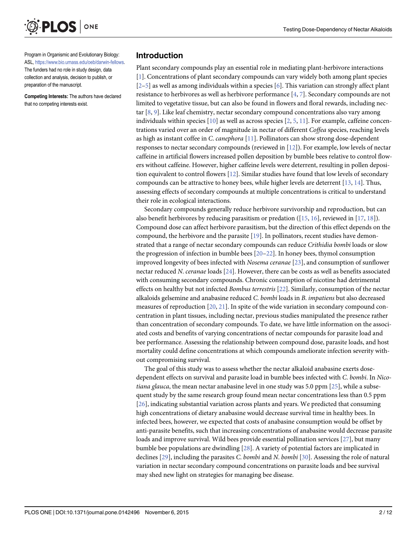<span id="page-2-0"></span>

preparation of the manuscript.

Program in Organismic and Evolutionary Biology: ASL, [https://www.bio.umass.edu/oeb/darwin-fellows.](https://www.bio.umass.edu/oeb/darwin-fellows) The funders had no role in study design, data collection and analysis, decision to publish, or

Competing Interests: The authors have declared that no competing interests exist.

#### Introduction

Plant secondary compounds play an essential role in mediating plant-herbivore interactions [\[1](#page-9-0)]. Concentrations of plant secondary compounds can vary widely both among plant species  $[2-5]$  $[2-5]$  $[2-5]$  $[2-5]$  as well as among individuals within a species [\[6\]](#page-9-0). This variation can strongly affect plant resistance to herbivores as well as herbivore performance [[4,](#page-9-0) [7\]](#page-9-0). Secondary compounds are not limited to vegetative tissue, but can also be found in flowers and floral rewards, including nectar  $[8, 9]$  $[8, 9]$  $[8, 9]$  $[8, 9]$ . Like leaf chemistry, nectar secondary compound concentrations also vary among individuals within species  $[10]$  $[10]$  as well as across species  $[2, 5, 11]$  $[2, 5, 11]$  $[2, 5, 11]$  $[2, 5, 11]$  $[2, 5, 11]$  $[2, 5, 11]$ . For example, caffeine concentrations varied over an order of magnitude in nectar of different Coffea species, reaching levels as high as instant coffee in C. canephora [\[11\]](#page-10-0). Pollinators can show strong dose-dependent responses to nectar secondary compounds (reviewed in [\[12\]](#page-10-0)). For example, low levels of nectar caffeine in artificial flowers increased pollen deposition by bumble bees relative to control flowers without caffeine. However, higher caffeine levels were deterrent, resulting in pollen deposition equivalent to control flowers [\[12\]](#page-10-0). Similar studies have found that low levels of secondary compounds can be attractive to honey bees, while higher levels are deterrent  $[13, 14]$  $[13, 14]$  $[13, 14]$ . Thus, assessing effects of secondary compounds at multiple concentrations is critical to understand their role in ecological interactions.

Secondary compounds generally reduce herbivore survivorship and reproduction, but can also benefit herbivores by reducing parasitism or predation ([\[15](#page-10-0), [16\]](#page-10-0), reviewed in [\[17,](#page-10-0) [18\]](#page-10-0)). Compound dose can affect herbivore parasitism, but the direction of this effect depends on the compound, the herbivore and the parasite [\[19](#page-10-0)]. In pollinators, recent studies have demonstrated that a range of nectar secondary compounds can reduce Crithidia bombi loads or slow the progression of infection in bumble bees  $[20-22]$  $[20-22]$  $[20-22]$ . In honey bees, thymol consumption improved longevity of bees infected with Nosema ceranae [[23](#page-10-0)], and consumption of sunflower nectar reduced N. ceranae loads [\[24](#page-10-0)]. However, there can be costs as well as benefits associated with consuming secondary compounds. Chronic consumption of nicotine had detrimental effects on healthy but not infected Bombus terrestris [\[22\]](#page-10-0). Similarly, consumption of the nectar alkaloids gelsemine and anabasine reduced C. bombi loads in B. impatiens but also decreased measures of reproduction  $[20, 21]$  $[20, 21]$  $[20, 21]$ . In spite of the wide variation in secondary compound concentration in plant tissues, including nectar, previous studies manipulated the presence rather than concentration of secondary compounds. To date, we have little information on the associated costs and benefits of varying concentrations of nectar compounds for parasite load and bee performance. Assessing the relationship between compound dose, parasite loads, and host mortality could define concentrations at which compounds ameliorate infection severity without compromising survival.

The goal of this study was to assess whether the nectar alkaloid anabasine exerts dosedependent effects on survival and parasite load in bumble bees infected with C. bombi. In Nicotiana glauca, the mean nectar anabasine level in one study was 5.0 ppm  $[25]$  $[25]$  $[25]$ , while a subsequent study by the same research group found mean nectar concentrations less than 0.5 ppm [\[26](#page-10-0)], indicating substantial variation across plants and years. We predicted that consuming high concentrations of dietary anabasine would decrease survival time in healthy bees. In infected bees, however, we expected that costs of anabasine consumption would be offset by anti-parasite benefits, such that increasing concentrations of anabasine would decrease parasite loads and improve survival. Wild bees provide essential pollination services [\[27\]](#page-10-0), but many bumble bee populations are dwindling [[28](#page-10-0)]. A variety of potential factors are implicated in declines  $[29]$  $[29]$  $[29]$ , including the parasites C. bombi and N. bombi  $[30]$ . Assessing the role of natural variation in nectar secondary compound concentrations on parasite loads and bee survival may shed new light on strategies for managing bee disease.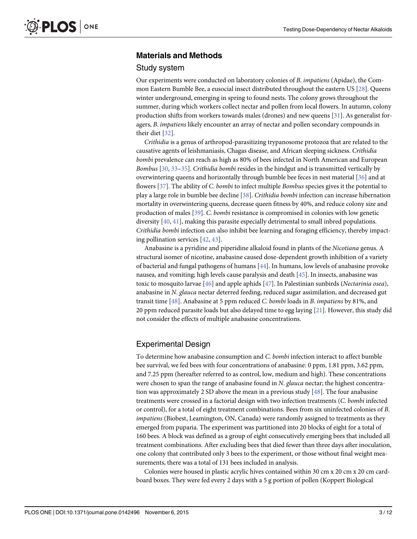#### <span id="page-3-0"></span>Materials and Methods

#### Study system

Our experiments were conducted on laboratory colonies of B. impatiens (Apidae), the Common Eastern Bumble Bee, a eusocial insect distributed throughout the eastern US [\[28\]](#page-10-0). Queens winter underground, emerging in spring to found nests. The colony grows throughout the summer, during which workers collect nectar and pollen from local flowers. In autumn, colony production shifts from workers towards males (drones) and new queens [\[31\]](#page-10-0). As generalist foragers, B. impatiens likely encounter an array of nectar and pollen secondary compounds in their diet [[32](#page-11-0)].

Crithidia is a genus of arthropod-parasitizing trypanosome protozoa that are related to the causative agents of leishmaniasis, Chagas disease, and African sleeping sickness. Crithidia bombi prevalence can reach as high as 80% of bees infected in North American and European Bombus [\[30,](#page-10-0) [33](#page-11-0)–[35\]](#page-11-0). Crithidia bombi resides in the hindgut and is transmitted vertically by overwintering queens and horizontally through bumble bee feces in nest material [[36\]](#page-11-0) and at flowers [\[37\]](#page-11-0). The ability of C. bombi to infect multiple *Bombus* species gives it the potential to play a large role in bumble bee decline [\[38\]](#page-11-0). Crithidia bombi infection can increase hibernation mortality in overwintering queens, decrease queen fitness by 40%, and reduce colony size and production of males [\[39\]](#page-11-0). C. bombi resistance is compromised in colonies with low genetic diversity [[40](#page-11-0), [41](#page-11-0)], making this parasite especially detrimental to small inbred populations. Crithidia bombi infection can also inhibit bee learning and foraging efficiency, thereby impacting pollination services [[42,](#page-11-0) [43\]](#page-11-0).

Anabasine is a pyridine and piperidine alkaloid found in plants of the Nicotiana genus. A structural isomer of nicotine, anabasine caused dose-dependent growth inhibition of a variety of bacterial and fungal pathogens of humans [\[44](#page-11-0)]. In humans, low levels of anabasine provoke nausea, and vomiting; high levels cause paralysis and death [[45](#page-11-0)]. In insects, anabasine was toxic to mosquito larvae  $[46]$  and apple aphids  $[47]$ . In Palestinian sunbirds (Nectarinia osea), anabasine in N. glauca nectar deterred feeding, reduced sugar assimilation, and decreased gut transit time [[48](#page-11-0)]. Anabasine at 5 ppm reduced C. bombi loads in B. impatiens by 81%, and 20 ppm reduced parasite loads but also delayed time to egg laying [\[21\]](#page-10-0). However, this study did not consider the effects of multiple anabasine concentrations.

#### Experimental Design

To determine how anabasine consumption and C. bombi infection interact to affect bumble bee survival, we fed bees with four concentrations of anabasine: 0 ppm, 1.81 ppm, 3.62 ppm, and 7.25 ppm (hereafter referred to as control, low, medium and high). These concentrations were chosen to span the range of anabasine found in N. glauca nectar; the highest concentration was approximately 2 SD above the mean in a previous study  $[48]$ . The four anabasine treatments were crossed in a factorial design with two infection treatments (C. bombi infected or control), for a total of eight treatment combinations. Bees from six uninfected colonies of B. impatiens (Biobest, Leamington, ON, Canada) were randomly assigned to treatments as they emerged from puparia. The experiment was partitioned into 20 blocks of eight for a total of 160 bees. A block was defined as a group of eight consecutively emerging bees that included all treatment combinations. After excluding bees that died fewer than three days after inoculation, one colony that contributed only 3 bees to the experiment, or those without final weight measurements, there was a total of 131 bees included in analysis.

Colonies were housed in plastic acrylic hives contained within 30 cm x 20 cm x 20 cm cardboard boxes. They were fed every 2 days with a 5 g portion of pollen (Koppert Biological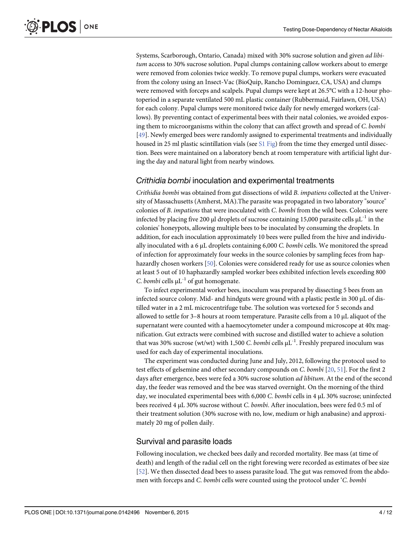<span id="page-4-0"></span>Systems, Scarborough, Ontario, Canada) mixed with 30% sucrose solution and given ad libitum access to 30% sucrose solution. Pupal clumps containing callow workers about to emerge were removed from colonies twice weekly. To remove pupal clumps, workers were evacuated from the colony using an Insect-Vac (BioQuip, Rancho Dominguez, CA, USA) and clumps were removed with forceps and scalpels. Pupal clumps were kept at 26.5°C with a 12-hour photoperiod in a separate ventilated 500 mL plastic container (Rubbermaid, Fairlawn, OH, USA) for each colony. Pupal clumps were monitored twice daily for newly emerged workers (callows). By preventing contact of experimental bees with their natal colonies, we avoided exposing them to microorganisms within the colony that can affect growth and spread of C. bombi [\[49](#page-11-0)]. Newly emerged bees were randomly assigned to experimental treatments and individually housed in 25 ml plastic scintillation vials (see  $S1$  Fig) from the time they emerged until dissection. Bees were maintained on a laboratory bench at room temperature with artificial light during the day and natural light from nearby windows.

#### Crithidia bombi inoculation and experimental treatments

Crithidia bombi was obtained from gut dissections of wild B. impatiens collected at the University of Massachusetts (Amherst, MA).The parasite was propagated in two laboratory "source" colonies of B. impatiens that were inoculated with C. bombi from the wild bees. Colonies were infected by placing five 200 μl droplets of sucrose containing 15,000 parasite cells  $\mu L^{-1}$  in the colonies' honeypots, allowing multiple bees to be inoculated by consuming the droplets. In addition, for each inoculation approximately 10 bees were pulled from the hive and individually inoculated with a 6 μL droplets containing 6,000 C. bombi cells. We monitored the spread of infection for approximately four weeks in the source colonies by sampling feces from haphazardly chosen workers [[50](#page-11-0)]. Colonies were considered ready for use as source colonies when at least 5 out of 10 haphazardly sampled worker bees exhibited infection levels exceeding 800 C. bombi cells  $\mu L^{-1}$  of gut homogenate.

To infect experimental worker bees, inoculum was prepared by dissecting 5 bees from an infected source colony. Mid- and hindguts were ground with a plastic pestle in 300 μL of distilled water in a 2 mL microcentrifuge tube. The solution was vortexed for 5 seconds and allowed to settle for 3–8 hours at room temperature. Parasite cells from a 10 μL aliquot of the supernatant were counted with a haemocytometer under a compound microscope at 40x magnification. Gut extracts were combined with sucrose and distilled water to achieve a solution that was 30% sucrose (wt/wt) with 1,500 C. bombi cells  $\mu L^{-1}$ . Freshly prepared inoculum was used for each day of experimental inoculations.

The experiment was conducted during June and July, 2012, following the protocol used to test effects of gelsemine and other secondary compounds on C. bombi [\[20,](#page-10-0) [51\]](#page-11-0). For the first 2 days after emergence, bees were fed a 30% sucrose solution *ad libitum*. At the end of the second day, the feeder was removed and the bee was starved overnight. On the morning of the third day, we inoculated experimental bees with 6,000 C. bombi cells in 4 μL 30% sucrose; uninfected bees received 4 μL 30% sucrose without C. bombi. After inoculation, bees were fed 0.5 ml of their treatment solution (30% sucrose with no, low, medium or high anabasine) and approximately 20 mg of pollen daily.

#### Survival and parasite loads

Following inoculation, we checked bees daily and recorded mortality. Bee mass (at time of death) and length of the radial cell on the right forewing were recorded as estimates of bee size [\[52](#page-11-0)]. We then dissected dead bees to assess parasite load. The gut was removed from the abdomen with forceps and C. bombi cells were counted using the protocol under 'C. bombi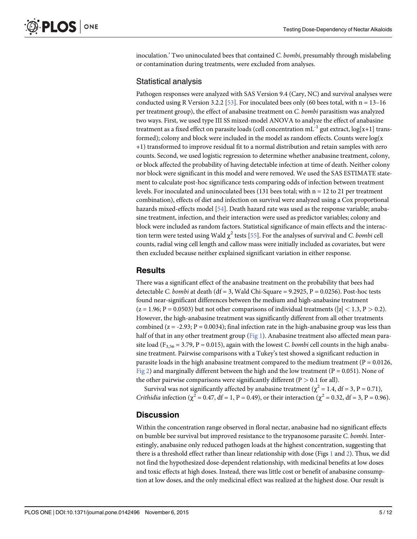<span id="page-5-0"></span>inoculation.' Two uninoculated bees that contained  $C$ . bombi, presumably through mislabeling or contamination during treatments, were excluded from analyses.

#### Statistical analysis

Pathogen responses were analyzed with SAS Version 9.4 (Cary, NC) and survival analyses were conducted using R Version 3.2.2 [[53\]](#page-11-0). For inoculated bees only (60 bees total, with  $n = 13-16$ per treatment group), the effect of anabasine treatment on C. bombi parasitism was analyzed two ways. First, we used type III SS mixed-model ANOVA to analyze the effect of anabasine treatment as a fixed effect on parasite loads (cell concentration  $mL^{-1}$  gut extract,  $log[x+1]$  transformed); colony and block were included in the model as random effects. Counts were  $log(x)$ +1) transformed to improve residual fit to a normal distribution and retain samples with zero counts. Second, we used logistic regression to determine whether anabasine treatment, colony, or block affected the probability of having detectable infection at time of death. Neither colony nor block were significant in this model and were removed. We used the SAS ESTIMATE statement to calculate post-hoc significance tests comparing odds of infection between treatment levels. For inoculated and uninoculated bees (131 bees total; with  $n = 12$  to 21 per treatment combination), effects of diet and infection on survival were analyzed using a Cox proportional hazards mixed-effects model [\[54\]](#page-11-0). Death hazard rate was used as the response variable; anabasine treatment, infection, and their interaction were used as predictor variables; colony and block were included as random factors. Statistical significance of main effects and the interaction term were tested using Wald  $\chi^2$  tests [[55](#page-11-0)]. For the analyses of survival and C. bombi cell counts, radial wing cell length and callow mass were initially included as covariates, but were then excluded because neither explained significant variation in either response.

#### **Results**

There was a significant effect of the anabasine treatment on the probability that bees had detectable C. bombi at death (df = 3, Wald Chi-Square =  $9.2925$ , P = 0.0256). Post-hoc tests found near-significant differences between the medium and high-anabasine treatment  $(z = 1.96; P = 0.0503)$  but not other comparisons of individual treatments  $(|z| < 1.3, P > 0.2)$ . However, the high-anabasine treatment was significantly different from all other treatments combined  $(z = -2.93; P = 0.0034)$ ; final infection rate in the high-anabasine group was less than half of that in any other treatment group [\(Fig 1](#page-6-0)). Anabasine treatment also affected mean parasite load ( $F_{3,56} = 3.79$ ,  $P = 0.015$ ), again with the lowest C. bombi cell counts in the high anabasine treatment. Pairwise comparisons with a Tukey's test showed a significant reduction in parasite loads in the high anabasine treatment compared to the medium treatment ( $P = 0.0126$ , [Fig 2](#page-7-0)) and marginally different between the high and the low treatment ( $P = 0.051$ ). None of the other pairwise comparisons were significantly different ( $P > 0.1$  for all).

Survival was not significantly affected by anabasine treatment ( $\chi^2$  = 1.4, df = 3, P = 0.71), *Crithidia* infection ( $\chi^2 = 0.47$ , df = 1, P = 0.49), or their interaction ( $\chi^2 = 0.32$ , df = 3, P = 0.96).

#### **Discussion**

Within the concentration range observed in floral nectar, anabasine had no significant effects on bumble bee survival but improved resistance to the trypanosome parasite C. bombi. Interestingly, anabasine only reduced pathogen loads at the highest concentration, suggesting that there is a threshold effect rather than linear relationship with dose (Figs [1](#page-6-0) and [2](#page-7-0)). Thus, we did not find the hypothesized dose-dependent relationship, with medicinal benefits at low doses and toxic effects at high doses. Instead, there was little cost or benefit of anabasine consumption at low doses, and the only medicinal effect was realized at the highest dose. Our result is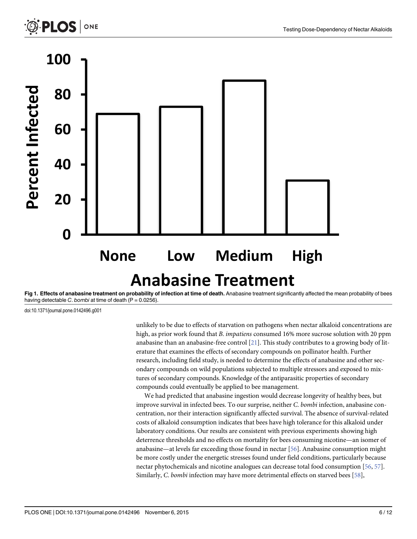<span id="page-6-0"></span>



[Fig 1. E](#page-5-0)ffects of anabasine treatment on probability of infection at time of death. Anabasine treatment significantly affected the mean probability of bees having detectable C. bombi at time of death ( $P = 0.0256$ ).

doi:10.1371/journal.pone.0142496.g001

unlikely to be due to effects of starvation on pathogens when nectar alkaloid concentrations are high, as prior work found that B. impatiens consumed 16% more sucrose solution with 20 ppm anabasine than an anabasine-free control  $[21]$  $[21]$ . This study contributes to a growing body of literature that examines the effects of secondary compounds on pollinator health. Further research, including field study, is needed to determine the effects of anabasine and other secondary compounds on wild populations subjected to multiple stressors and exposed to mixtures of secondary compounds. Knowledge of the antiparasitic properties of secondary compounds could eventually be applied to bee management.

We had predicted that anabasine ingestion would decrease longevity of healthy bees, but improve survival in infected bees. To our surprise, neither C. bombi infection, anabasine concentration, nor their interaction significantly affected survival. The absence of survival-related costs of alkaloid consumption indicates that bees have high tolerance for this alkaloid under laboratory conditions. Our results are consistent with previous experiments showing high deterrence thresholds and no effects on mortality for bees consuming nicotine—an isomer of anabasine—at levels far exceeding those found in nectar [[56](#page-11-0)]. Anabasine consumption might be more costly under the energetic stresses found under field conditions, particularly because nectar phytochemicals and nicotine analogues can decrease total food consumption [[56](#page-11-0), [57](#page-12-0)]. Similarly, C. bombi infection may have more detrimental effects on starved bees [\[58\]](#page-12-0),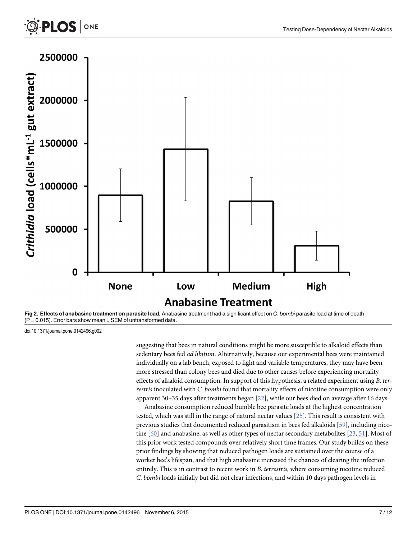

[Fig 2. E](#page-5-0)ffects of anabasine treatment on parasite load. Anabasine treatment had a significant effect on C. bombi parasite load at time of death  $(P = 0.015)$ . Error bars show mean  $\pm$  SEM of untransformed data.

doi:10.1371/journal.pone.0142496.g002

<span id="page-7-0"></span>**PLOS** 

ONE

suggesting that bees in natural conditions might be more susceptible to alkaloid effects than sedentary bees fed *ad libitum*. Alternatively, because our experimental bees were maintained individually on a lab bench, exposed to light and variable temperatures, they may have been more stressed than colony bees and died due to other causes before experiencing mortality effects of alkaloid consumption. In support of this hypothesis, a related experiment using B. terrestris inoculated with C. bombi found that mortality effects of nicotine consumption were only apparent 30–35 days after treatments began [[22](#page-10-0)], while our bees died on average after 16 days.

Anabasine consumption reduced bumble bee parasite loads at the highest concentration tested, which was still in the range of natural nectar values [[25\]](#page-10-0). This result is consistent with previous studies that documented reduced parasitism in bees fed alkaloids [[59\]](#page-12-0), including nicotine [[60](#page-12-0)] and anabasine, as well as other types of nectar secondary metabolites [[23](#page-10-0), [51](#page-11-0)]. Most of this prior work tested compounds over relatively short time frames. Our study builds on these prior findings by showing that reduced pathogen loads are sustained over the course of a worker bee's lifespan, and that high anabasine increased the chances of clearing the infection entirely. This is in contrast to recent work in B. terrestris, where consuming nicotine reduced C. bombi loads initially but did not clear infections, and within 10 days pathogen levels in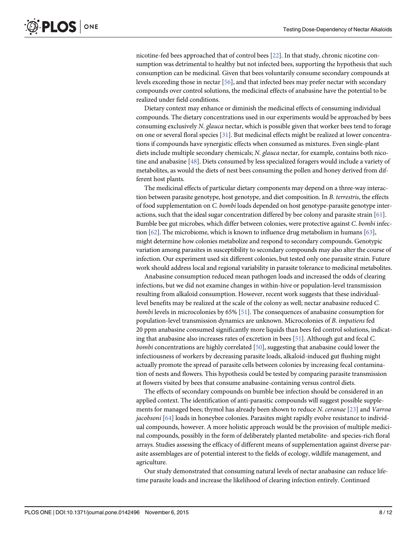<span id="page-8-0"></span>nicotine-fed bees approached that of control bees [\[22\]](#page-10-0). In that study, chronic nicotine consumption was detrimental to healthy but not infected bees, supporting the hypothesis that such consumption can be medicinal. Given that bees voluntarily consume secondary compounds at levels exceeding those in nectar [\[56\]](#page-11-0), and that infected bees may prefer nectar with secondary compounds over control solutions, the medicinal effects of anabasine have the potential to be realized under field conditions.

Dietary context may enhance or diminish the medicinal effects of consuming individual compounds. The dietary concentrations used in our experiments would be approached by bees consuming exclusively N. glauca nectar, which is possible given that worker bees tend to forage on one or several floral species [\[31\]](#page-10-0). But medicinal effects might be realized at lower concentrations if compounds have synergistic effects when consumed as mixtures. Even single-plant diets include multiple secondary chemicals; N. glauca nectar, for example, contains both nicotine and anabasine [[48](#page-11-0)]. Diets consumed by less specialized foragers would include a variety of metabolites, as would the diets of nest bees consuming the pollen and honey derived from different host plants.

The medicinal effects of particular dietary components may depend on a three-way interaction between parasite genotype, host genotype, and diet composition. In B. terrestris, the effects of food supplementation on C. bombi loads depended on host genotype-parasite genotype interactions, such that the ideal sugar concentration differed by bee colony and parasite strain [\[61\]](#page-12-0). Bumble bee gut microbes, which differ between colonies, were protective against C. bombi infection  $[62]$ . The microbiome, which is known to influence drug metabolism in humans  $[63]$  $[63]$  $[63]$ , might determine how colonies metabolize and respond to secondary compounds. Genotypic variation among parasites in susceptibility to secondary compounds may also alter the course of infection. Our experiment used six different colonies, but tested only one parasite strain. Future work should address local and regional variability in parasite tolerance to medicinal metabolites.

Anabasine consumption reduced mean pathogen loads and increased the odds of clearing infections, but we did not examine changes in within-hive or population-level transmission resulting from alkaloid consumption. However, recent work suggests that these individuallevel benefits may be realized at the scale of the colony as well; nectar anabasine reduced C. bombi levels in microcolonies by 65% [[51](#page-11-0)]. The consequences of anabasine consumption for population-level transmission dynamics are unknown. Microcolonies of B. impatiens fed 20 ppm anabasine consumed significantly more liquids than bees fed control solutions, indicating that anabasine also increases rates of excretion in bees [\[51\]](#page-11-0). Although gut and fecal C. bombi concentrations are highly correlated [\[50](#page-11-0)], suggesting that anabasine could lower the infectiousness of workers by decreasing parasite loads, alkaloid-induced gut flushing might actually promote the spread of parasite cells between colonies by increasing fecal contamination of nests and flowers. This hypothesis could be tested by comparing parasite transmission at flowers visited by bees that consume anabasine-containing versus control diets.

The effects of secondary compounds on bumble bee infection should be considered in an applied context. The identification of anti-parasitic compounds will suggest possible supplements for managed bees; thymol has already been shown to reduce N. ceranae [\[23](#page-10-0)] and Varroa jacobsoni [\[64](#page-12-0)] loads in honeybee colonies. Parasites might rapidly evolve resistance to individual compounds, however. A more holistic approach would be the provision of multiple medicinal compounds, possibly in the form of deliberately planted metabolite- and species-rich floral arrays. Studies assessing the efficacy of different means of supplementation against diverse parasite assemblages are of potential interest to the fields of ecology, wildlife management, and agriculture.

Our study demonstrated that consuming natural levels of nectar anabasine can reduce lifetime parasite loads and increase the likelihood of clearing infection entirely. Continued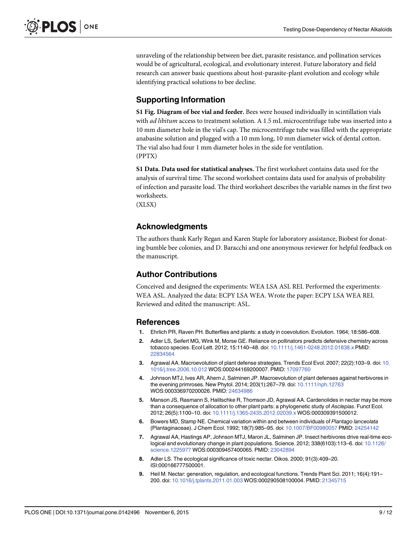<span id="page-9-0"></span>unraveling of the relationship between bee diet, parasite resistance, and pollination services would be of agricultural, ecological, and evolutionary interest. Future laboratory and field research can answer basic questions about host-parasite-plant evolution and ecology while identifying practical solutions to bee decline.

#### Supporting Information

[S1 Fig.](http://www.plosone.org/article/fetchSingleRepresentation.action?uri=info:doi/10.1371/journal.pone.0142496.s001) Diagram of bee vial and feeder. Bees were housed individually in scintillation vials with *ad libitum* access to treatment solution. A 1.5 mL microcentrifuge tube was inserted into a 10 mm diameter hole in the vial's cap. The microcentrifuge tube was filled with the appropriate anabasine solution and plugged with a 10 mm long, 10 mm diameter wick of dental cotton. The vial also had four 1 mm diameter holes in the side for ventilation. (PPTX)

[S1 Data](http://www.plosone.org/article/fetchSingleRepresentation.action?uri=info:doi/10.1371/journal.pone.0142496.s002). Data used for statistical analyses. The first worksheet contains data used for the analysis of survival time. The second worksheet contains data used for analysis of probability of infection and parasite load. The third worksheet describes the variable names in the first two worksheets.

(XLSX)

#### Acknowledgments

The authors thank Karly Regan and Karen Staple for laboratory assistance, Biobest for donating bumble bee colonies, and D. Baracchi and one anonymous reviewer for helpful feedback on the manuscript.

#### Author Contributions

Conceived and designed the experiments: WEA LSA ASL REI. Performed the experiments: WEA ASL. Analyzed the data: ECPY LSA WEA. Wrote the paper: ECPY LSA WEA REI. Reviewed and edited the manuscript: ASL.

#### **References**

- [1.](#page-2-0) Ehrlich PR, Raven PH. Butterflies and plants: a study in coevolution. Evolution. 1964; 18:586–608.
- [2.](#page-2-0) Adler LS, Seifert MG, Wink M, Morse GE. Reliance on pollinators predicts defensive chemistry across tobacco species. Ecol Lett. 2012; 15:1140–48. doi: [10.1111/j.1461-0248.2012.01838.x](http://dx.doi.org/10.1111/j.1461-0248.2012.01838.x) PMID: [22834564](http://www.ncbi.nlm.nih.gov/pubmed/22834564)
- 3. Agrawal AA. Macroevolution of plant defense strategies. Trends Ecol Evol. 2007; 22(2):103–9. doi: [10.](http://dx.doi.org/10.1016/j.tree.2006.10.012) [1016/j.tree.2006.10.012](http://dx.doi.org/10.1016/j.tree.2006.10.012) WOS:000244169200007. PMID: [17097760](http://www.ncbi.nlm.nih.gov/pubmed/17097760)
- [4.](#page-2-0) Johnson MTJ, Ives AR, Ahern J, Salminen JP. Macroevolution of plant defenses against herbivores in the evening primroses. New Phytol. 2014; 203(1):267–79. doi: [10.1111/nph.12763](http://dx.doi.org/10.1111/nph.12763) WOS:000336970200026. PMID: [24634986](http://www.ncbi.nlm.nih.gov/pubmed/24634986)
- [5.](#page-2-0) Manson JS, Rasmann S, Halitschke R, Thomson JD, Agrawal AA. Cardenolides in nectar may be more than a consequence of allocation to other plant parts: a phylogenetic study of Asclepias. Funct Ecol. 2012; 26(5):1100–10. doi: [10.1111/j.1365-2435.2012.02039.x](http://dx.doi.org/10.1111/j.1365-2435.2012.02039.x) WOS:000309391500012.
- [6.](#page-2-0) Bowers MD, Stamp NE. Chemical variation within and between individuals of Plantago lanceolata (Plantaginaceae). J Chem Ecol. 1992; 18(7):985–95. doi: [10.1007/BF00980057](http://dx.doi.org/10.1007/BF00980057) PMID: [24254142](http://www.ncbi.nlm.nih.gov/pubmed/24254142)
- [7.](#page-2-0) Agrawal AA, Hastings AP, Johnson MTJ, Maron JL, Salminen JP. Insect herbivores drive real-time ecological and evolutionary change in plant populations. Science. 2012; 338(6103):113–6. doi: [10.1126/](http://dx.doi.org/10.1126/science.1225977) [science.1225977](http://dx.doi.org/10.1126/science.1225977) WOS:000309457400065. PMID: [23042894](http://www.ncbi.nlm.nih.gov/pubmed/23042894)
- [8.](#page-2-0) Adler LS. The ecological significance of toxic nectar. Oikos. 2000; 91(3):409–20. ISI:000166777500001.
- [9.](#page-2-0) Heil M. Nectar: generation, regulation, and ecological functions. Trends Plant Sci. 2011; 16(4):191– 200. doi: [10.1016/j.tplants.2011.01.003](http://dx.doi.org/10.1016/j.tplants.2011.01.003) WOS:000290508100004. PMID: [21345715](http://www.ncbi.nlm.nih.gov/pubmed/21345715)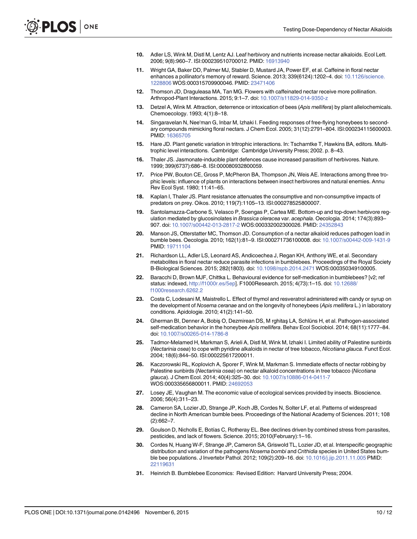- <span id="page-10-0"></span>[10.](#page-2-0) Adler LS, Wink M, Distl M, Lentz AJ. Leaf herbivory and nutrients increase nectar alkaloids. Ecol Lett. 2006; 9(8):960–7. ISI:000239510700012. PMID: [16913940](http://www.ncbi.nlm.nih.gov/pubmed/16913940)
- [11.](#page-2-0) Wright GA, Baker DD, Palmer MJ, Stabler D, Mustard JA, Power EF, et al. Caffeine in floral nectar enhances a pollinator's memory of reward. Science. 2013; 339(6124):1202–4. doi: [10.1126/science.](http://dx.doi.org/10.1126/science.1228806) [1228806](http://dx.doi.org/10.1126/science.1228806) WOS:000315709900046. PMID: [23471406](http://www.ncbi.nlm.nih.gov/pubmed/23471406)
- [12.](#page-2-0) Thomson JD, Draguleasa MA, Tan MG. Flowers with caffeinated nectar receive more pollination. Arthropod-Plant Interactions. 2015; 9:1–7. doi: [10.1007/s11829-014-9350-z](http://dx.doi.org/10.1007/s11829-014-9350-z)
- [13.](#page-2-0) Detzel A, Wink M. Attraction, deterrence or intoxication of bees (Apis mellifera) by plant allelochemicals. Chemoecology. 1993; 4(1):8–18.
- [14.](#page-2-0) Singaravelan N, Nee'man G, Inbar M, Izhaki I. Feeding responses of free-flying honeybees to secondary compounds mimicking floral nectars. J Chem Ecol. 2005; 31(12):2791–804. ISI:000234115600003. PMID: [16365705](http://www.ncbi.nlm.nih.gov/pubmed/16365705)
- [15.](#page-2-0) Hare JD. Plant genetic variation in tritrophic interactions. In: Tscharntke T, Hawkins BA, editors. Multitrophic level interactions. Cambridge: Cambridge University Press; 2002. p. 8–43.
- [16.](#page-2-0) Thaler JS. Jasmonate-inducible plant defences cause increased parasitism of herbivores. Nature. 1999; 399(6737):686–8. ISI:000080932800059.
- [17.](#page-2-0) Price PW, Bouton CE, Gross P, McPheron BA, Thompson JN, Weis AE. Interactions among three trophic levels: influence of plants on interactions between insect herbivores and natural enemies. Annu Rev Ecol Syst. 1980; 11:41–65.
- [18.](#page-2-0) Kaplan I, Thaler JS. Plant resistance attenuates the consumptive and non-consumptive impacts of predators on prey. Oikos. 2010; 119(7):1105–13. ISI:000278525800007.
- [19.](#page-2-0) Santolamazza-Carbone S, Velasco P, Soengas P, Cartea ME. Bottom-up and top-down herbivore regulation mediated by glucosinolates in Brassica oleracea var. acephala. Oecologia. 2014; 174(3):893– 907. doi: [10.1007/s00442-013-2817-2](http://dx.doi.org/10.1007/s00442-013-2817-2) WOS:000332002300026. PMID: [24352843](http://www.ncbi.nlm.nih.gov/pubmed/24352843)
- [20.](#page-2-0) Manson JS, Otterstatter MC, Thomson JD. Consumption of a nectar alkaloid reduces pathogen load in bumble bees. Oecologia. 2010; 162(1):81–9. ISI:000271736100008. doi: [10.1007/s00442-009-1431-9](http://dx.doi.org/10.1007/s00442-009-1431-9) PMID: [19711104](http://www.ncbi.nlm.nih.gov/pubmed/19711104)
- [21.](#page-2-0) Richardson LL, Adler LS, Leonard AS, Andicoechea J, Regan KH, Anthony WE, et al. Secondary metabolites in floral nectar reduce parasite infections in bumblebees. Proceedings of the Royal Society B-Biological Sciences. 2015; 282(1803). doi: [10.1098/rspb.2014.2471](http://dx.doi.org/10.1098/rspb.2014.2471) WOS:000350349100005.
- [22.](#page-2-0) Baracchi D, Brown MJF, Chittka L. Behavioural evidence for self-medication in bumblebees? [v2; ref status: indexed, [http://f1000r.es/5ep\]](http://f1000r.es/5ep). F1000Research. 2015; 4(73):1–15. doi: [10.12688/](http://dx.doi.org/10.12688/f1000research.6262.2) [f1000research.6262.2](http://dx.doi.org/10.12688/f1000research.6262.2)
- [23.](#page-2-0) Costa C, Lodesani M, Maistrello L. Effect of thymol and resveratrol administered with candy or syrup on the development of Nosema ceranae and on the longevity of honeybees (Apis mellifera L.) in laboratory conditions. Apidologie. 2010; 41(2):141–50.
- [24.](#page-2-0) Gherman BI, Denner A, Bobiş O, Dezmirean DS, M rghitaş LA, Schlüns H, et al. Pathogen-associated self-medication behavior in the honeybee Apis mellifera. Behav Ecol Sociobiol. 2014; 68(11):1777–84. doi: [10.1007/s00265-014-1786-8](http://dx.doi.org/10.1007/s00265-014-1786-8)
- [25.](#page-2-0) Tadmor-Melamed H, Markman S, Arieli A, Distl M, Wink M, Izhaki I. Limited ability of Palestine sunbirds (Nectarinia osea) to cope with pyridine alkaloids in nectar of tree tobacco, Nicotiana glauca. Funct Ecol. 2004; 18(6):844–50. ISI:000225617200011.
- [26.](#page-2-0) Kaczorowski RL, Koplovich A, Sporer F, Wink M, Markman S. Immediate effects of nectar robbing by Palestine sunbirds (Nectarinia osea) on nectar alkaloid concentrations in tree tobacco (Nicotiana glauca). J Chem Ecol. 2014; 40(4):325–30. doi: [10.1007/s10886-014-0411-7](http://dx.doi.org/10.1007/s10886-014-0411-7) WOS:000335656800011. PMID: [24692053](http://www.ncbi.nlm.nih.gov/pubmed/24692053)
- [27.](#page-2-0) Losey JE, Vaughan M. The economic value of ecological services provided by insects. Bioscience. 2006; 56(4):311–23.
- [28.](#page-2-0) Cameron SA, Lozier JD, Strange JP, Koch JB, Cordes N, Solter LF, et al. Patterns of widespread decline in North American bumble bees. Proceedings of the National Academy of Sciences. 2011; 108 (2):662–7.
- [29.](#page-2-0) Goulson D, Nicholls E, Botías C, Rotheray EL. Bee declines driven by combined stress from parasites, pesticides, and lack of flowers. Science. 2015; 2010(February):1–16.
- [30.](#page-2-0) Cordes N, Huang W-F, Strange JP, Cameron SA, Griswold TL, Lozier JD, et al. Interspecific geographic distribution and variation of the pathogens Nosema bombi and Crithidia species in United States bumble bee populations. J Invertebr Pathol. 2012; 109(2):209–16. doi: [10.1016/j.jip.2011.11.005](http://dx.doi.org/10.1016/j.jip.2011.11.005) PMID: [22119631](http://www.ncbi.nlm.nih.gov/pubmed/22119631)
- [31.](#page-3-0) Heinrich B. Bumblebee Economics: Revised Edition: Harvard University Press; 2004.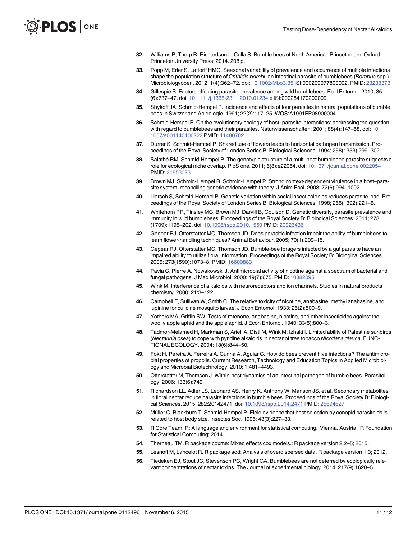- <span id="page-11-0"></span>[32.](#page-3-0) Williams P, Thorp R, Richardson L, Colla S. Bumble bees of North America. Princeton and Oxford: Princeton University Press; 2014. 208 p.
- [33.](#page-3-0) Popp M, Erler S, Lattorff HMG. Seasonal variability of prevalence and occurrence of multiple infections shape the population structure of *Crithidia bombi*, an intestinal parasite of bumblebees (Bombus spp.). Microbiologyopen. 2012; 1(4):362–72. doi: [10.1002/Mbo3.35](http://dx.doi.org/10.1002/Mbo3.35) ISI:000209077800002. PMID: [23233373](http://www.ncbi.nlm.nih.gov/pubmed/23233373)
- 34. Gillespie S. Factors affecting parasite prevalence among wild bumblebees. Ecol Entomol. 2010; 35 (6):737–47. doi: [10.1111/j.1365-2311.2010.01234.x](http://dx.doi.org/10.1111/j.1365-2311.2010.01234.x) ISI:000284170200009.
- [35.](#page-3-0) Shykoff JA, Schmid-Hempel P. Incidence and effects of four parasites in natural populations of bumble bees in Switzerland Apidologie. 1991; 22(2):117–25. WOS:A1991FP08900004.
- [36.](#page-3-0) Schmid-Hempel P. On the evolutionary ecology of host–parasite interactions: addressing the question with regard to bumblebees and their parasites. Naturwissenschaften. 2001; 88(4):147–58. doi: [10.](http://dx.doi.org/10.1007/s001140100222) [1007/s001140100222](http://dx.doi.org/10.1007/s001140100222) PMID: [11480702](http://www.ncbi.nlm.nih.gov/pubmed/11480702)
- [37.](#page-3-0) Durrer S, Schmid-Hempel P. Shared use of flowers leads to horizontal pathogen transmission. Proceedings of the Royal Society of London Series B: Biological Sciences. 1994; 258(1353):299–302.
- [38.](#page-3-0) Salathé RM, Schmid-Hempel P. The genotypic structure of a multi-host bumblebee parasite suggests a role for ecological niche overlap. PloS one. 2011; 6(8):e22054. doi: [10.1371/journal.pone.0022054](http://dx.doi.org/10.1371/journal.pone.0022054) PMID: [21853023](http://www.ncbi.nlm.nih.gov/pubmed/21853023)
- [39.](#page-3-0) Brown MJ, Schmid-Hempel R, Schmid-Hempel P. Strong context-dependent virulence in a host–parasite system: reconciling genetic evidence with theory. J Anim Ecol. 2003; 72(6):994–1002.
- [40.](#page-3-0) Liersch S, Schmid-Hempel P. Genetic variation within social insect colonies reduces parasite load. Proceedings of the Royal Society of London Series B: Biological Sciences. 1998; 265(1392):221–5.
- [41.](#page-3-0) Whitehorn PR, Tinsley MC, Brown MJ, Darvill B, Goulson D. Genetic diversity, parasite prevalence and immunity in wild bumblebees. Proceedings of the Royal Society B: Biological Sciences. 2011; 278 (1709):1195–202. doi: [10.1098/rspb.2010.1550](http://dx.doi.org/10.1098/rspb.2010.1550) PMID: [20926436](http://www.ncbi.nlm.nih.gov/pubmed/20926436)
- [42.](#page-3-0) Gegear RJ, Otterstatter MC, Thomson JD. Does parasitic infection impair the ability of bumblebees to learn flower-handling techniques? Animal Behaviour. 2005; 70(1):209–15.
- [43.](#page-3-0) Gegear RJ, Otterstatter MC, Thomson JD. Bumble-bee foragers infected by a gut parasite have an impaired ability to utilize floral information. Proceedings of the Royal Society B: Biological Sciences. 2006; 273(1590):1073–8. PMID: [16600883](http://www.ncbi.nlm.nih.gov/pubmed/16600883)
- [44.](#page-3-0) Pavia C, Pierre A, Nowakowski J. Antimicrobial activity of nicotine against a spectrum of bacterial and fungal pathogens. J Med Microbiol. 2000; 49(7):675. PMID: [10882095](http://www.ncbi.nlm.nih.gov/pubmed/10882095)
- [45.](#page-3-0) Wink M. Interference of alkaloids with neuroreceptors and ion channels. Studies in natural products chemistry. 2000; 21:3–122.
- [46.](#page-3-0) Campbell F, Sullivan W, Smith C. The relative toxicity of nicotine, anabasine, methyl anabasine, and lupinine for culicine mosquito larvae. J Econ Entomol. 1933; 26(2):500–9.
- [47.](#page-3-0) Yothers MA, Griffin SW. Tests of rotenone, anabasine, nicotine, and other insecticides against the woolly apple aphid and the apple aphid. J Econ Entomol. 1940; 33(5):800–3.
- [48.](#page-3-0) Tadmor-Melamed H, Markman S, Arieli A, Distl M, Wink M, Izhaki I. Limited ability of Palestine sunbirds (Nectarinia osea) to cope with pyridine alkaloids in nectar of tree tobacco Nicotiana glauca. FUNC-TIONAL ECOLOGY. 2004; 18(6):844–50.
- [49.](#page-4-0) Fokt H, Pereira A, Ferreira A, Cunha A, Aguiar C. How do bees prevent hive infections? The antimicrobial properties of propolis. Current Research, Technology and Education Topics in Applied Microbiology and Microbial Biotechnology. 2010; 1:481–4493.
- [50.](#page-4-0) Otterstatter M, Thomson J. Within-host dynamics of an intestinal pathogen of bumble bees. Parasitology. 2006; 133(6):749.
- [51.](#page-4-0) Richardson LL, Adler LS, Leonard AS, Henry K, Anthony W, Manson JS, et al. Secondary metabolites in floral nectar reduce parasite infections in bumble bees. Proceedings of the Royal Society B: Biological Sciences. 2015; 282:20142471. doi: [10.1098/rspb.2014.2471](http://dx.doi.org/10.1098/rspb.2014.2471) PMID: [25694627](http://www.ncbi.nlm.nih.gov/pubmed/25694627)
- [52.](#page-4-0) Müller C, Blackburn T, Schmid-Hempel P. Field evidence that host selection by conopid parasitoids is related to host body size. Insectes Soc. 1996; 43(3):227–33.
- [53.](#page-5-0) R Core Team. R: A language and environment for statistical computing. Vienna, Austria: R Foundation for Statistical Computing; 2014.
- [54.](#page-5-0) Therneau TM. R package coxme: Mixed effects cox models.: R package version 2.2–5; 2015.
- [55.](#page-5-0) Lesnoff M, Lancelot R. R package aod: Analysis of overdispersed data. R package version 1.3; 2012.
- [56.](#page-6-0) Tiedeken EJ, Stout JC, Stevenson PC, Wright GA. Bumblebees are not deterred by ecologically relevant concentrations of nectar toxins. The Journal of experimental biology. 2014; 217(9):1620–5.